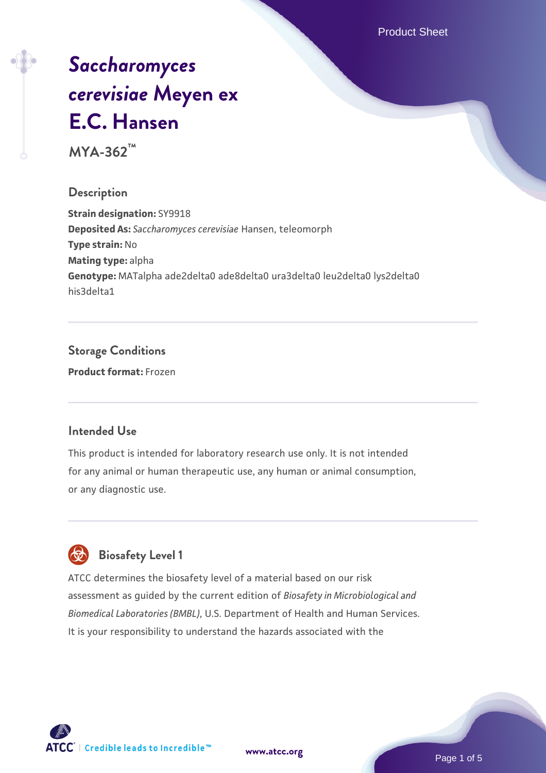Product Sheet

# *[Saccharomyces](https://www.atcc.org/products/mya-362) [cerevisiae](https://www.atcc.org/products/mya-362)* **[Meyen ex](https://www.atcc.org/products/mya-362) [E.C. Hansen](https://www.atcc.org/products/mya-362)**

**MYA-362™**

### **Description**

**Strain designation:** SY9918 **Deposited As:** *Saccharomyces cerevisiae* Hansen, teleomorph **Type strain:** No **Mating type:** alpha **Genotype:** MATalpha ade2delta0 ade8delta0 ura3delta0 leu2delta0 lys2delta0 his3delta1

### **Storage Conditions Product format:** Frozen

### **Intended Use**

This product is intended for laboratory research use only. It is not intended for any animal or human therapeutic use, any human or animal consumption, or any diagnostic use.



### **Biosafety Level 1**

ATCC determines the biosafety level of a material based on our risk assessment as guided by the current edition of *Biosafety in Microbiological and Biomedical Laboratories (BMBL)*, U.S. Department of Health and Human Services. It is your responsibility to understand the hazards associated with the

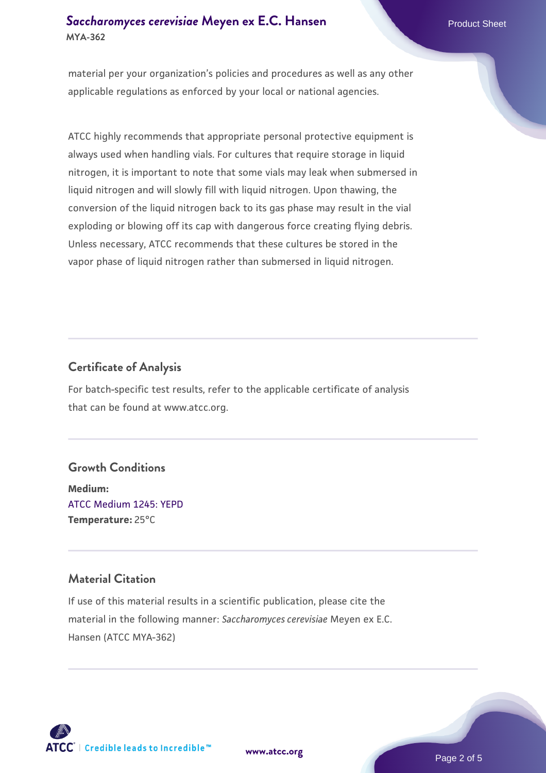### **[Saccharomyces cerevisiae](https://www.atcc.org/products/mya-362)** [Meyen ex E.C. Hansen](https://www.atcc.org/products/mya-362) **MYA-362**

material per your organization's policies and procedures as well as any other applicable regulations as enforced by your local or national agencies.

ATCC highly recommends that appropriate personal protective equipment is always used when handling vials. For cultures that require storage in liquid nitrogen, it is important to note that some vials may leak when submersed in liquid nitrogen and will slowly fill with liquid nitrogen. Upon thawing, the conversion of the liquid nitrogen back to its gas phase may result in the vial exploding or blowing off its cap with dangerous force creating flying debris. Unless necessary, ATCC recommends that these cultures be stored in the vapor phase of liquid nitrogen rather than submersed in liquid nitrogen.

### **Certificate of Analysis**

For batch-specific test results, refer to the applicable certificate of analysis that can be found at www.atcc.org.

### **Growth Conditions**

**Medium:**  [ATCC Medium 1245: YEPD](https://www.atcc.org/-/media/product-assets/documents/microbial-media-formulations/1/2/4/5/atcc-medium-1245.pdf?rev=705ca55d1b6f490a808a965d5c072196) **Temperature:** 25°C

### **Material Citation**

If use of this material results in a scientific publication, please cite the material in the following manner: *Saccharomyces cerevisiae* Meyen ex E.C. Hansen (ATCC MYA-362)



**[www.atcc.org](http://www.atcc.org)**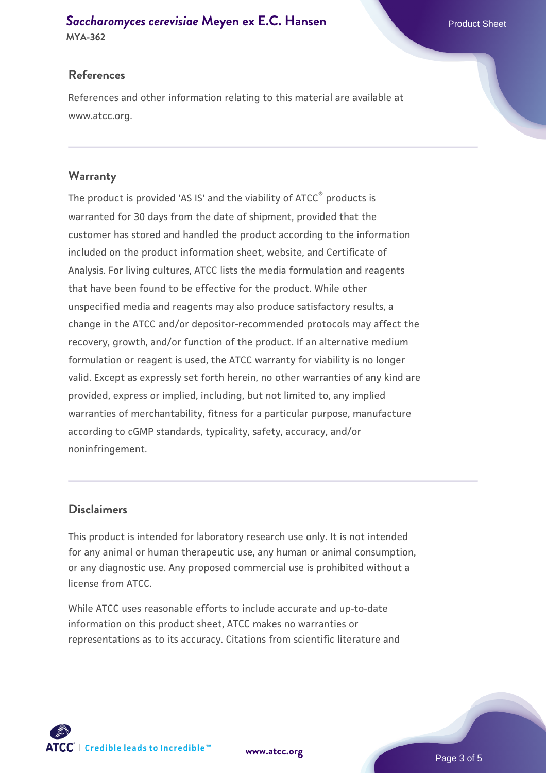## **[Saccharomyces cerevisiae](https://www.atcc.org/products/mya-362)** [Meyen ex E.C. Hansen](https://www.atcc.org/products/mya-362)

**MYA-362**

### **References**

References and other information relating to this material are available at www.atcc.org.

### **Warranty**

The product is provided 'AS IS' and the viability of ATCC® products is warranted for 30 days from the date of shipment, provided that the customer has stored and handled the product according to the information included on the product information sheet, website, and Certificate of Analysis. For living cultures, ATCC lists the media formulation and reagents that have been found to be effective for the product. While other unspecified media and reagents may also produce satisfactory results, a change in the ATCC and/or depositor-recommended protocols may affect the recovery, growth, and/or function of the product. If an alternative medium formulation or reagent is used, the ATCC warranty for viability is no longer valid. Except as expressly set forth herein, no other warranties of any kind are provided, express or implied, including, but not limited to, any implied warranties of merchantability, fitness for a particular purpose, manufacture according to cGMP standards, typicality, safety, accuracy, and/or noninfringement.

### **Disclaimers**

This product is intended for laboratory research use only. It is not intended for any animal or human therapeutic use, any human or animal consumption, or any diagnostic use. Any proposed commercial use is prohibited without a license from ATCC.

While ATCC uses reasonable efforts to include accurate and up-to-date information on this product sheet, ATCC makes no warranties or representations as to its accuracy. Citations from scientific literature and

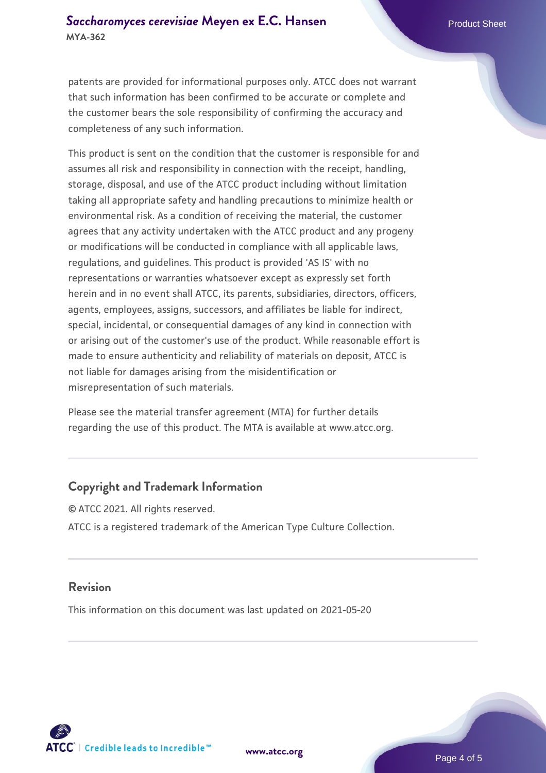patents are provided for informational purposes only. ATCC does not warrant that such information has been confirmed to be accurate or complete and the customer bears the sole responsibility of confirming the accuracy and completeness of any such information.

This product is sent on the condition that the customer is responsible for and assumes all risk and responsibility in connection with the receipt, handling, storage, disposal, and use of the ATCC product including without limitation taking all appropriate safety and handling precautions to minimize health or environmental risk. As a condition of receiving the material, the customer agrees that any activity undertaken with the ATCC product and any progeny or modifications will be conducted in compliance with all applicable laws, regulations, and guidelines. This product is provided 'AS IS' with no representations or warranties whatsoever except as expressly set forth herein and in no event shall ATCC, its parents, subsidiaries, directors, officers, agents, employees, assigns, successors, and affiliates be liable for indirect, special, incidental, or consequential damages of any kind in connection with or arising out of the customer's use of the product. While reasonable effort is made to ensure authenticity and reliability of materials on deposit, ATCC is not liable for damages arising from the misidentification or misrepresentation of such materials.

Please see the material transfer agreement (MTA) for further details regarding the use of this product. The MTA is available at www.atcc.org.

### **Copyright and Trademark Information**

© ATCC 2021. All rights reserved. ATCC is a registered trademark of the American Type Culture Collection.

### **Revision**

This information on this document was last updated on 2021-05-20



**[www.atcc.org](http://www.atcc.org)**